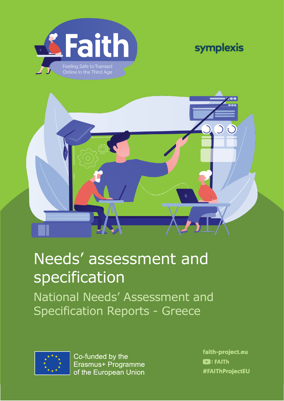





# Needs' assessment and specification

National Needs' Assessment and Specification Reports - Greece



Co-funded by the Erasmus+ Programme Η υποστήριξη της Ευρωπαϊκής Επιτροπής στην παραγωγή της παρούσας έκδοσης δεν συνιστά αποδοχή του περιεχομένου, το οποίο αντικατοπτρίζει από τις αποκλειστικές των συνεαιρεί να προσεί να προσεί να προσεί να πρ

faith-project.eu  $\blacksquare$ : FAITh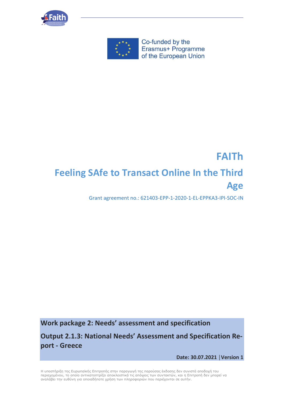



Co-funded by the Erasmus+ Programme of the European Union

## **FAITh Feeling SAfe to Transact Online In the Third Age**

Grant agreement no.: 621403-EPP-1-2020-1-EL-EPPKA3-IPI-SOC-IN

**Work package 2: Needs' assessment and specification**

**Output 2.1.3: National Needs' Assessment and Specification Report - Greece**

**Date: 30.07.2021 │Version 1**

Η υποστήριξη της Ευρωπαϊκής Επιτροπής στην παραγωγή της παρούσας έκδοσης δεν συνιστά αποδοχή του περιεχομένου, το οποίο αντικατοπτρίζει αποκλειστικά τις απόψεις των συντακτών, και η Επιτροπή δεν μπορεί να αναλάβει την ευθύνη για οποιαδήποτε χρήση των πληροφοριών που περιέχονται σε αυτήν.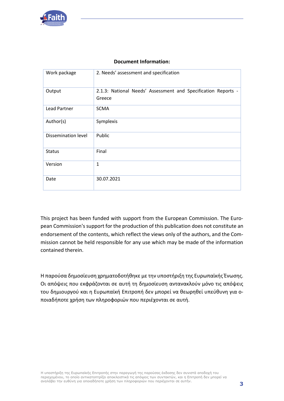

#### **Document Information:**

| Work package        | 2. Needs' assessment and specification                                  |
|---------------------|-------------------------------------------------------------------------|
| Output              | 2.1.3: National Needs' Assessment and Specification Reports -<br>Greece |
| Lead Partner        | <b>SCMA</b>                                                             |
| Author(s)           | Symplexis                                                               |
| Dissemination level | Public                                                                  |
| <b>Status</b>       | Final                                                                   |
| Version             | $\mathbf{1}$                                                            |
| Date                | 30.07.2021                                                              |

This project has been funded with support from the European Commission. The European Commission's support for the production of this publication does not constitute an endorsement of the contents, which reflect the views only of the authors, and the Commission cannot be held responsible for any use which may be made of the information contained therein.

Η παρούσα δημοσίευση χρηματοδοτήθηκε με την υποστήριξη της Ευρωπαϊκής Ένωσης. Οι απόψεις που εκφράζονται σε αυτή τη δημοσίευση αντανακλούν μόνο τις απόψεις του δημιουργού και η Ευρωπαϊκή Επιτροπή δεν μπορεί να θεωρηθεί υπεύθυνη για οποιαδήποτε χρήση των πληροφοριών που περιέχονται σε αυτή.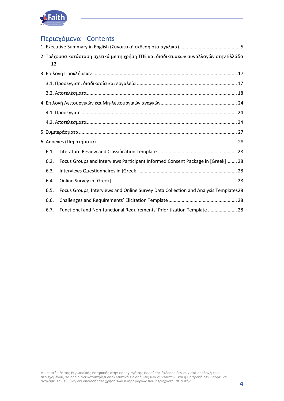

## Περιεχόμενα - Contents

| 12   | 2. Τρέχουσα κατάσταση σχετικά με τη χρήση ΤΠΕ και διαδικτυακών συναλλαγών στην Ελλάδα |
|------|---------------------------------------------------------------------------------------|
|      |                                                                                       |
|      |                                                                                       |
|      |                                                                                       |
|      |                                                                                       |
|      |                                                                                       |
|      |                                                                                       |
|      |                                                                                       |
|      |                                                                                       |
| 6.1. |                                                                                       |
| 6.2. | Focus Groups and Interviews Participant Informed Consent Package in [Greek] 28        |
| 6.3. |                                                                                       |
| 6.4. |                                                                                       |
| 6.5. | Focus Groups, Interviews and Online Survey Data Collection and Analysis Templates28   |
| 6.6. |                                                                                       |
| 6.7. | Functional and Non-functional Requirements' Prioritization Template  28               |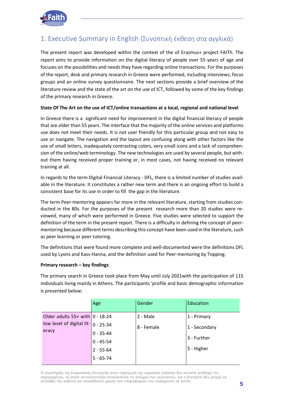

## <span id="page-4-0"></span>1. Executive Summary in English (Συνοπτική έκθεση στα αγγλικά)

The present report was developed within the context of the of Erasmus+ project FAITh. The report aims to provide information on the digital literacy of people over 55 years of age and focuses on the possibilities and needs they have regarding online transactions. For the purposes of the report, desk and primary research in Greece were performed, including interviews, focus groups and an online survey questionnaire. The next sections provide a brief overview of the literature review and the state of the art on the use of ICT, followed by some of the key findings of the primary research in Greece.

#### **State Of The Art on the use of ICT/online transactions at a local, regional and national level**

In Greece there is a significant need for improvement in the digital financial literacy of people that are older than 55 years. The interface that the majority of the online services and platforms use does not meet their needs. It is not user friendly for this particular group and not easy to use or navigate. The navigation and the layout are confusing along with other factors like the use of small letters, inadequately contrasting colors, very small icons and a lack of comprehension of the online/web terminology. The new technologies are used by several people, but without them having received proper training or, in most cases, not having received no relevant training at all.

In regards to the term Digital Financial Literacy - DFL, there is a limited number of studies available in the literature. It constitutes a rather new term and there is an ongoing effort to build a consistent base for its use in order to fill the gap in the literature.

The term Peer-mentoring appears far more in the relevant literature, starting from studies conducted in the 80s. For the purposes of the present research more than 20 studies were reviewed, many of which were performed in Greece. Five studies were selected to support the definition of the term in the present report. There is a difficulty in defining the concept of peermentoring because different terms describing this concept have been used in the literature, such as peer learning or peer tutoring.

The definitions that were found more complete and well-documented were the definitions DFL used by Lyons and Kass-Hanna, and the definition used for Peer-mentoring by Topping.

#### **Primary research – key findings**

The primary search in Greece took place from May until July 2021with the participation of 115 individuals living mainly in Athens. The participants 'profile and basic demographic information is presented below:

|                                                                                             | Age           | Gender     | Education     |
|---------------------------------------------------------------------------------------------|---------------|------------|---------------|
| Older adults $55+$ with $ 0 - 18-24 $<br>low level of digital lit- $ 0 - 25 - 34 $<br>eracy |               | 2 - Male   | 1 - Primary   |
|                                                                                             |               | 8 - Female | 1 - Secondary |
|                                                                                             | $0 - 35 - 44$ |            |               |
|                                                                                             | $0 - 45 - 54$ |            | 3 - Further   |
|                                                                                             | $2 - 55 - 64$ |            | 5 - Higher    |
|                                                                                             | $5 - 65 - 74$ |            |               |

Η υποστήριξη της Ευρωπαϊκής Επιτροπής στην παραγωγή της παρούσας έκδοσης δεν συνιστά αποδοχή του περιεχομένου, το οποίο αντικατοπτρίζει αποκλειστικά τις απόψεις των συντακτών, και η Επιτροπή δεν μπορεί να αναλάβει την ευθύνη για οποιαδήποτε χρήση των πληροφοριών που περιέχονται σε αυτήν.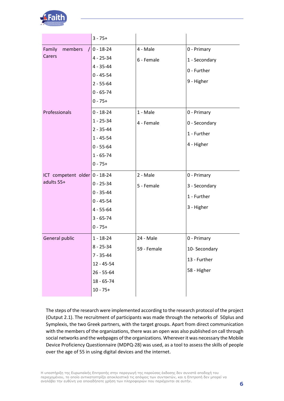

|                                     | $3 - 75 +$     |             |               |
|-------------------------------------|----------------|-------------|---------------|
| Family<br>members                   | $0 - 18 - 24$  | 4 - Male    | 0 - Primary   |
| Carers                              | $4 - 25 - 34$  | 6 - Female  | 1 - Secondary |
|                                     | $4 - 35 - 44$  |             | 0 - Further   |
|                                     | $0 - 45 - 54$  |             |               |
|                                     | $2 - 55 - 64$  |             | 9 - Higher    |
|                                     | $0 - 65 - 74$  |             |               |
|                                     | $0 - 75 +$     |             |               |
| Professionals                       | $0 - 18 - 24$  | 1 - Male    | 0 - Primary   |
|                                     | $1 - 25 - 34$  | 4 - Female  | 0 - Secondary |
|                                     | $2 - 35 - 44$  |             | 1 - Further   |
|                                     | $1 - 45 - 54$  |             |               |
|                                     | $0 - 55 - 64$  |             | 4 - Higher    |
|                                     | $1 - 65 - 74$  |             |               |
|                                     | $0 - 75 +$     |             |               |
| ICT competent older $ 0 - 18 - 24 $ |                | 2 - Male    | 0 - Primary   |
| adults 55+                          | $0 - 25 - 34$  | 5 - Female  | 3 - Secondary |
|                                     | $0 - 35 - 44$  |             | 1 - Further   |
|                                     | $0 - 45 - 54$  |             |               |
|                                     | $4 - 55 - 64$  |             | 3 - Higher    |
|                                     | $3 - 65 - 74$  |             |               |
|                                     | $0 - 75 +$     |             |               |
| General public                      | $1 - 18 - 24$  | 24 - Male   | 0 - Primary   |
|                                     | $8 - 25 - 34$  | 59 - Female | 10- Secondary |
|                                     | $7 - 35 - 44$  |             | 13 - Further  |
|                                     | $12 - 45 - 54$ |             | 58 - Higher   |
|                                     | $26 - 55 - 64$ |             |               |
|                                     | $18 - 65 - 74$ |             |               |
|                                     | $10 - 75 +$    |             |               |

The steps of the research were implemented according to the research protocol of the project (Output 2.1). The recruitment of participants was made through the networks of 50plus and Symplexis, the two Greek partners, with the target groups. Apart from direct communication with the members of the organizations, there was an open was also published on call through social networks and the webpages of the organizations. Wherever it was necessary the Mobile Device Proficiency Questionnaire (MDPQ-28) was used, as a tool to assess the skills of people over the age of 55 in using digital devices and the internet.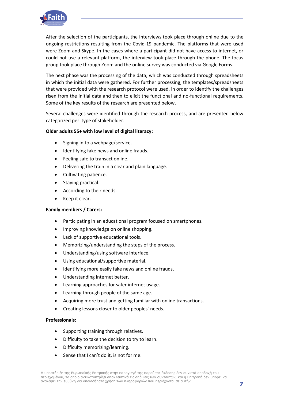

After the selection of the participants, the interviews took place through online due to the ongoing restrictions resulting from the Covid-19 pandemic. The platforms that were used were Zoom and Skype. In the cases where a participant did not have access to internet, or could not use a relevant platform, the interview took place through the phone. The focus group took place through Zoom and the online survey was conducted via Google Forms.

The next phase was the processing of the data, which was conducted through spreadsheets in which the initial data were gathered. For further processing, the templates/spreadsheets that were provided with the research protocol were used, in order to identify the challenges risen from the initial data and then to elicit the functional and no-functional requirements. Some of the key results of the research are presented below.

Several challenges were identified through the research process, and are presented below categorized per type of stakeholder.

#### **Older adults 55+ with low level of digital literacy:**

- Signing in to a webpage/service.
- Identifying fake news and online frauds.
- Feeling safe to transact online.
- Delivering the train in a clear and plain language.
- Cultivating patience.
- Staying practical.
- According to their needs.
- Keep it clear.

#### **Family members / Carers:**

- Participating in an educational program focused on smartphones.
- Improving knowledge on online shopping.
- Lack of supportive educational tools.
- Memorizing/understanding the steps of the process.
- Understanding/using software interface.
- Using educational/supportive material.
- Identifying more easily fake news and online frauds.
- Understanding internet better.
- Learning approaches for safer internet usage.
- Learning through people of the same age.
- Acquiring more trust and getting familiar with online transactions.
- Creating lessons closer to older peoples' needs.

#### **Professionals:**

- Supporting training through relatives.
- Difficulty to take the decision to try to learn.
- Difficulty memorizing/learning.
- Sense that I can't do it, is not for me.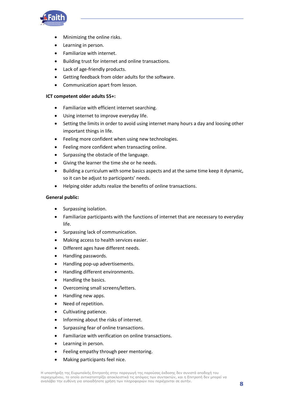

- Minimizing the online risks.
- Learning in person.
- Familiarize with internet.
- Building trust for internet and online transactions.
- Lack of age-friendly products.
- Getting feedback from older adults for the software.
- Communication apart from lesson.

#### **ICT competent older adults 55+:**

- Familiarize with efficient internet searching.
- Using internet to improve everyday life.
- Setting the limits in order to avoid using internet many hours a day and loosing other important things in life.
- Feeling more confident when using new technologies.
- Feeling more confident when transacting online.
- Surpassing the obstacle of the language.
- Giving the learner the time she or he needs.
- Building a curriculum with some basics aspects and at the same time keep it dynamic, so it can be adjust to participants' needs.
- Helping older adults realize the benefits of online transactions.

#### **General public:**

- Surpassing isolation.
- Familiarize participants with the functions of internet that are necessary to everyday life.
- Surpassing lack of communication.
- Making access to health services easier.
- Different ages have different needs.
- Handling passwords.
- Handling pop-up advertisements.
- Handling different environments.
- Handling the basics.
- Overcoming small screens/letters.
- Handling new apps.
- Need of repetition.
- Cultivating patience.
- Informing about the risks of internet.
- Surpassing fear of online transactions.
- Familiarize with verification on online transactions.
- Learning in person.
- Feeling empathy through peer mentoring.
- Making participants feel nice.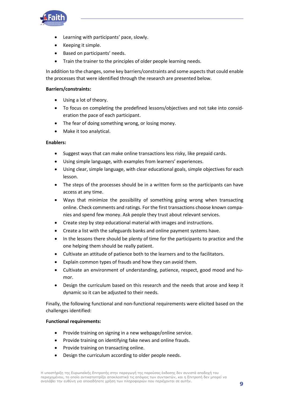

- Learning with participants' pace, slowly.
- Keeping it simple.
- Based on participants' needs.
- Train the trainer to the principles of older people learning needs.

In addition to the changes, some key barriers/constraints and some aspects that could enable the processes that were identified through the research are presented below.

#### **Barriers/constraints:**

- Using a lot of theory.
- To focus on completing the predefined lessons/objectives and not take into consideration the pace of each participant.
- The fear of doing something wrong, or losing money.
- Make it too analytical.

#### **Enablers:**

- Suggest ways that can make online transactions less risky, like prepaid cards.
- Using simple language, with examples from learners' experiences.
- Using clear, simple language, with clear educational goals, simple objectives for each lesson.
- The steps of the processes should be in a written form so the participants can have access at any time.
- Ways that minimize the possibility of something going wrong when transacting online. Check comments and ratings. For the first transactions choose known companies and spend few money. Ask people they trust about relevant services.
- Create step by step educational material with images and instructions.
- Create a list with the safeguards banks and online payment systems have.
- In the lessons there should be plenty of time for the participants to practice and the one helping them should be really patient.
- Cultivate an attitude of patience both to the learners and to the facilitators.
- Explain common types of frauds and how they can avoid them.
- Cultivate an environment of understanding, patience, respect, good mood and humor.
- Design the curriculum based on this research and the needs that arose and keep it dynamic so it can be adjusted to their needs.

Finally, the following functional and non-functional requirements were elicited based on the challenges identified:

#### **Functional requirements:**

- Provide training on signing in a new webpage/online service.
- Provide training on identifying fake news and online frauds.
- Provide training on transacting online.
- Design the curriculum according to older people needs.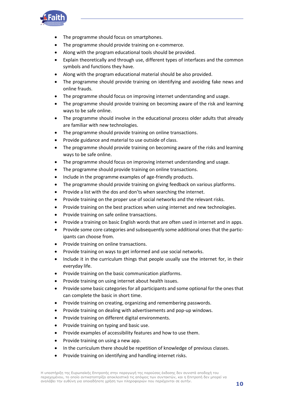

- The programme should focus on smartphones.
- The programme should provide training on e-commerce.
- Along with the program educational tools should be provided.
- Explain theoretically and through use, different types of interfaces and the common symbols and functions they have.
- Along with the program educational material should be also provided.
- The programme should provide training on identifying and avoiding fake news and online frauds.
- The programme should focus on improving internet understanding and usage.
- The programme should provide training on becoming aware of the risk and learning ways to be safe online.
- The programme should involve in the educational process older adults that already are familiar with new technologies.
- The programme should provide training on online transactions.
- Provide guidance and material to use outside of class.
- The programme should provide training on becoming aware of the risks and learning ways to be safe online.
- The programme should focus on improving internet understanding and usage.
- The programme should provide training on online transactions.
- Include in the programme examples of age-friendly products.
- The programme should provide training on giving feedback on various platforms.
- Provide a list with the dos and don'ts when searching the internet.
- Provide training on the proper use of social networks and the relevant risks.
- Provide training on the best practices when using internet and new technologies.
- Provide training on safe online transactions.
- Provide a training on basic English words that are often used in internet and in apps.
- Provide some core categories and subsequently some additional ones that the participants can choose from.
- Provide training on online transactions.
- Provide training on ways to get informed and use social networks.
- Include it in the curriculum things that people usually use the internet for, in their everyday life.
- Provide training on the basic communication platforms.
- Provide training on using internet about health issues.
- Provide some basic categories for all participants and some optional for the ones that can complete the basic in short time.
- Provide training on creating, organizing and remembering passwords.
- Provide training on dealing with advertisements and pop-up windows.
- Provide training on different digital environments.
- Provide training on typing and basic use.
- Provide examples of accessibility features and how to use them.
- Provide training on using a new app.
- In the curriculum there should be repetition of knowledge of previous classes.
- Provide training on identifying and handling internet risks.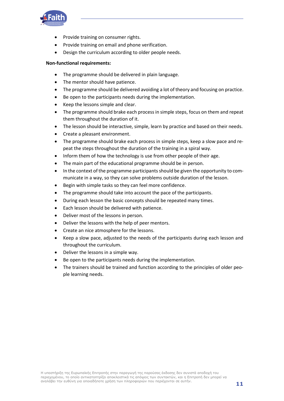

- Provide training on consumer rights.
- Provide training on email and phone verification.
- Design the curriculum according to older people needs.

#### **Non-functional requirements:**

- The programme should be delivered in plain language.
- The mentor should have patience.
- The programme should be delivered avoiding a lot of theory and focusing on practice.
- Be open to the participants needs during the implementation.
- Keep the lessons simple and clear.
- The programme should brake each process in simple steps, focus on them and repeat them throughout the duration of it.
- The lesson should be interactive, simple, learn by practice and based on their needs.
- Create a pleasant environment.
- The programme should brake each process in simple steps, keep a slow pace and repeat the steps throughout the duration of the training in a spiral way.
- Inform them of how the technology is use from other people of their age.
- The main part of the educational programme should be in person.
- In the context of the programme participants should be given the opportunity to communicate in a way, so they can solve problems outside duration of the lesson.
- Begin with simple tasks so they can feel more confidence.
- The programme should take into account the pace of the participants.
- During each lesson the basic concepts should be repeated many times.
- Each lesson should be delivered with patience.
- Deliver most of the lessons in person.
- Deliver the lessons with the help of peer mentors.
- Create an nice atmosphere for the lessons.
- Keep a slow pace, adjusted to the needs of the participants during each lesson and throughout the curriculum.
- Deliver the lessons in a simple way.
- Be open to the participants needs during the implementation.
- The trainers should be trained and function according to the principles of older people learning needs.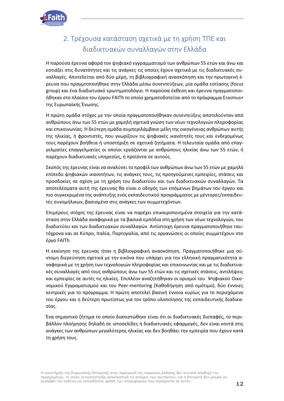

## <span id="page-11-0"></span>2. Τρέχουσα κατάσταση σχετικά με τη χρήση ΤΠΕ και διαδικτυακών συναλλαγών στην Ελλάδα

Η παρούσα έρευνα αφορά τον ψηφιακό εγγραμματισμό των ανθρώπων 55 ετών και άνω και εστιάζει στις δυνατότητες και τις ανάγκες τις οποίες έχουν σχετικά με τις διαδικτυακές συναλλαγές. Αποτελείται από δύο μέρη, τη βιβλιογραφική ανασκόπηση και την πρωτογενή έρευνα που πραγμτοποιήθηκε στην Ελλάδα μέσω συνεντεύξεων, μία ομάδα εστίασης (focus group) και ένα διαδικτυακό ερωτηματολόγιο. Η παρούσα έκθεση και έρευνα πραγματοποιήθηκαν στο πλαίσιο του έργου FAITh το οποίο χρηματοδοτείται από το πρόγραμμα Erasmus+ της Ευρωπαϊκής Ένωσης.

Η πρώτη ομάδα στόχος με την οποία πραγματοποιήθηκαν συνεντεύξεις αποτελούνταν από ανθρώπους άνω των 55 ετών με χαμηλή σχετικά γνώση των νέων τεχνολογιών πληροφορίας και επικοινωνίας. Η δεύτερη ομάδα συμπεριλάμβανε μέλη της οικογένειας ανθρώπων αυτής της ηλικίας, ή φροντιστές, που γνωρίζουν τις ψηφιακές ικανότητές τους και ενδεχομένως τους παρέχουν βοήθεια ή υποστήριξη σε σχετικά ζητήματα. Η τελευταία ομάδα από επαγγελματίες επαγγελματίες οι οποίοι εργάζονται με ανθρώπους ηλικίας άνω των 55 ετών, ή παρέχουν διαδικτυακές υπηρεσίες, ή προϊόντα σε αυτούς.

Σκοπός της έρευνας είναι να αναλύσει το προφίλ των ανθρώπων άνω των 55 ετών με χαμηλό επίπεδο ψηφιακών ικανοτήτων, τις ανάγκες τους, τις προηγούμενες εμπειρίες, στάσεις και προσδοκίες σε σχέση με τη χρήση του διαδικτύου και των διαδικτυακών συναλλαγών. Τα αποτελέσματα αυτή της έρευνας θα είναι ο οδηγός των επόμενων βημάτων του έργου και πιο συγκεκριμένα της ανάπτυξης ενός εκπαιδευτικού προγράμματος με μέντορες/εκπαιδευτές συνομήλικων, βασισμένο στις ανάγκες των συμμετεχόντων.

Επιμέρους στόχος της έρευνας είναι να παρέχει επικαιροποιημένα στοιχεία για την κατάσταση στην Ελλάδα αναφορικά με τα βασικά εμπόδια στη χρήση των νέων τεχνολογιών, του διαδικτύου και των διαδικτυακών συναλλαγών. Αντίστοιχη έρευνα πραγματοποιήθηκε ταυτόχρονα και σε Κύπρο, Ιταλία, Πορτογαλία, από τις οργανώσεις οι οποίες συμμετέχουν στο έργο FAITh.

Η εκκίνηση της έρευνας ήταν η βιβλιογραφική ανασκόπηση. Πραγματοποιήθηκε μια σύντομη διερεύνηση σχετικά με την εικόνα που υπάρχει για την ελληνική πραγματικότητα αναφορικά με τη χρήση των τεχνολογιών πληροφορίας και επικοινωνίας και με τις διαδικτυακές συναλλαγές από τους ανθρώπους άνω των 55 ετών και τις σχετικές στάσεις, αντιλήψεις και εμπειρίες σε αυτές τις ηλικίες. Επιπλέον αναζητήθηκαν οι ορισμοί του Ψηφιακού Οικονομικού Εγγραματισμού και του Peer-mentoring (Καθοδήγηση από ομότιμο), δύο έννοιες κεντρικές για το πρόγραμμα. Η πρώτη αποτελεί βασική έννοια κυρίως για το περιεχόμενο του έργου και η δεύτερη πρωτίστως για τον τρόπο υλοποίησης της εκπαιδευτικής διαδικασίας.

Ένα σημαντικό ζήτημα το οποίο διαπιστώθηκε είναι ότι οι διαδικτυακές διεπαφές, το περιβάλλον πλοήγησης δηλαδή σε ιστοσελίδες ή διαδικτυακές εφαρμογές, δεν είναι κοντά στις ανάγκες των ανθρώπων μεγαλύτερης ηλικίας και δεν βοηθάει την εμπειρία που έχουν κατά τη χρήση τους.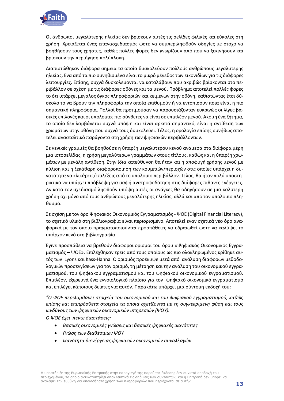

Οι άνθρωποι μεγαλύτερης ηλικίας δεν βρίσκουν αυτές τις σελίδες φιλικές και εύκολες στη χρήση. Χρειάζεται ένας επανασχεδιασμός ώστε να συμπεριληφθούν οδηγίες με στόχο να βοηθήσουν τους χρήστες, καθώς πολλές φορές δεν γνωρίζουν από που να ξεκινήσουν και βρίσκουν την περιήγηση πολύπλοκη.

Διαπιστώθηκαν διάφορα σημεία τα οποία δυσκολεύουν πολλούς ανθρώπους μεγαλύτερης ηλικίας. Ένα από τα πιο συνηθισμένα είναι το μικρό μέγεθος των εικονιδίων για τις διάφορες λειτουργίες. Επίσης, συχνά δυσκολεύονται να καταλάβουν που ακριβώς βρίσκονται στο περιβάλλον σε σχέση με τις διάφορες οθόνες και τα μενού. Πρόβλημα αποτελεί πολλές φορές το ότι υπάρχει μεγάλος όγκος πληροφοριών και κειμένων στην οθόνη, καθιστώντας έτσι δύσκολο το να βρουν την πληροφορία την οποία επιθυμούν ή να εντοπίσουν ποια είναι η πιο σημαντική πληροφορία. Πολλοί θα προτιμούσαν να παρουσιάζονταν ευκρινώς οι λίγες βασικές επιλογές και οι υπόλοιπες πιο σύνθετες να είναι σε επιπλέον μενού. Ακόμη ένα ζήτημα, το οποίο δεν λαμβάνεται συχνά υπόψη και είναι αρκετά σημαντικό, είναι η αντίθεση των χρωμάτων στην οθόνη που συχνά τους δυσκολεύει. Τέλος, η ορολογία επίσης συνήθως αποτελεί ανασταλτικό παράγοντα στη χρήση των ψηφιακών περιβάλλοντων.

Σε γενικές γραμμές θα βοηθούσε η ύπαρξη μεγαλύτερου κενού ανάμεσα στα διάφορα μέρη μια ιστοσελίδας, η χρήση μεγαλύτερων γραμμάτων στους τίτλους, καθώς και η ύπαρξη χρωμάτων με μεγάλη αντίθεση. Στην ίδια κατεύθυνση θα ήταν και η αποφυγή χρήσης μενού με κύλιση και η ξεκάθαρη διαφοροποίηση των κουμπιών/περιοχών στις οποίες υπάρχει η δυνατότητα να κλικάρεις/επιλέξεις από το υπόλοιπο περιβάλλον. Τέλος, θα ήταν πολύ υποστηρικτικό να υπάρχει πρόβλεψη για σαφή ανατροφοδότηση στις διάφορες πιθανές ενέργειες. Αν κατά τον σχεδιασμό ληφθούν υπόψη αυτές οι ανάγκες θα οδηγήσουν σε μια καλύτερη χρήση όχι μόνο από τους ανθρώπους μεγαλύτερης ηλικίας, αλλά και από τον υπόλοιπο πληθυσμό.

Σε σχέση με τον όρο Ψηφιακός Οικονομικός Εγγραματισμός - ΨΟΕ (Digital Financial Literacy), το σχετικό υλικό στη βιβλιογραφία είναι περιορισμένο. Αποτελεί έναν σχετικά νέο όρο αναφορικά με τον οποίο πραγματοποιούνται προσπάθειες να εδραιωθεί ώστε να καλύψει το υπάρχον κενό στη βιβλιογραφία.

Έγινε προσπάθεια να βρεθούν διάφοροι ορισμοί του όρου «Ψηφιακός Οικονομικός Εγγραματισμός – ΨΟΕ». Επιλέχθηκαν τρεις από τους οποίους ως πιο ολοκληρωμένος κρίθηκε αυτός των Lyons και Kass-Hanna. Ο ορισμός προέκυψε μετά από ανάλυση διάφορων μεθοδολογικών προσεγγίσεων για τον ορισμό, τη μέτρηση και την ανάλυση του οικονομικού εγγραματισμού, του ψηφιακού εγγραματισμού και του ψηφιακού οικονομικού εγγραματισμού. Επιπλέον, εξερευνά ένα εννοιολογικό πλαίσιο για τον ψηφιακό οικονομικό εγγραματισμό και επιλέγει κάποιους δείκτες για αυτόν. Παρακάτω υπάρχει μια σύντομη εκδοχή του:

*"Ο ΨΟΕ περιλαμβάνει στοιχεία του οικονομικού και του ψηφιακού εγγραματισμού, καθώς επίσης και επιπρόσθετα στοιχεία τα οποία σχετίζονται με τη συγκεκριμένη φύση και τους κινδύνους των ψηφιακών οικονομικών υπηρεσιών (ΨΟΥ).*

*Ο ΨΟΕ έχει πέντε διαστάσεις:*

- *Βασικές οικονομικές γνώσεις και βασικές ψηφιακές ικανότητες*
- *Γνώση των διαθέσιμων ΨΟΥ*
- *Ικανότητα διενέργειας ψηφιακών οικονομικών συναλλαγών*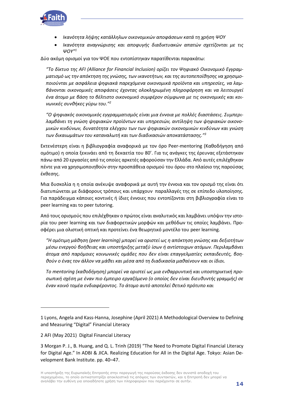

- *Ικανότητα λήψης κατάλληλων οικονομικών αποφάσεων κατά τη χρήση ΨΟΥ*
- *Ικανότητα αναγνώρισης και αποφυγής διαδικτυακών απατών σχετίζονται με τις ΨΟΥ"<sup>1</sup>*

Δύο ακόμη ορισμοί για τον ΨΟΕ που εντοπίστηκαν παρατίθενται παρακάτω:

*"Το δίκτυο της AFI (Alliance for Financial Inclusion) ορίζει τον Ψηφιακό Οικονομικό Εγγραμματισμό ως την απόκτηση της γνώσης, των ικανοτήτων, και της αυτοπεποίθησης να χρησιμοποιούνται με ασφάλεια ψηφιακά παρεχόμενα οικονομικά προϊόντα και υπηρεσίες, να λαμβάνονται οικονομικές αποφάσεις έχοντας ολοκληρωμένη πληροφόρηση και να λειτουργεί ένα άτομο με βάση το βέλτιστο οικονομικό συμφέρον σύμφωνα με τις οικονομικές και κοινωνικές συνθήκες γύρω του."<sup>2</sup>*

*"Ο ψηφιακός οικονομικός εγγραμματισμός είναι μια έννοια με πολλές διαστάσεις. Συμπεριλαμβάνει τη γνώση ψηφιακών προϊόντων και υπηρεσιών, αντίληψη των ψηφιακών οικονομικών κινδύνων, δυνατότητα ελέγχου των των ψηφιακών οικονομικών κινδύνων και γνώση των δικαιωμάτων του καταναλωτή και των διαδικασιών αποκατάστασης."<sup>3</sup>*

Εκτενέστερη είναι η βιβλιογραφία αναφορικά με τον όρο Peer-mentoring (Καθοδήγηση από ομότιμο) η οποία ξεκινάει από τη δεκαετία του 80'. Για τις ανάγκες της έρευνας εξετάστηκαν πάνω από 20 εργασίες από τις οποίες αρκετές αφορούσαν την Ελλάδα. Από αυτές επιλέχθηκαν πέντε για να χρησιμοποιηθούν στην προσπάθεια ορισμού του όρου στο πλαίσιο της παρούσας έκθεσης.

Μια δυσκολία η η οποία ανέκυψε αναφορικά με αυτή την έννοια και τον ορισμό της είναι ότι διατυπώνεται με διάφορους τρόπους και υπάρχουν παραλλαγές της σε επίπεδο υλοποίησης. Για παράδειγμα κάποιες κοντινές ή ίδιες έννοιες που εντοπίζονται στη βιβλιογραφία είναι το peer learning και το peer tutoring.

Από τους ορισμούς που επιλέχθηκαν ο πρώτος είναι αναλυτικός και λαμβάνει υπόψιν την ιστορία του peer learning και των διαφορετικών μορφών και μεθόδων τις οποίες λαμβάνει. Προσφέρει μια ολιστική οπτική και προτείνει ένα θεωρητικό μοντέλο του peer learning.

*"Η ομότιμη μάθηση (peer learning) μπορεί να οριστεί ως η απόκτηση γνώσης και δεξιοτήτων μέσω ενεργού βοήθειας και υποστήριξης μεταξύ ίσων ή αντίστοιχων ατόμων. Περιλαμβάνει άτομα από παρόμοιες κοινωνικές ομάδες που δεν είναι επαγγελματίες εκπαιδευτές, βοηθούν ο ένας τον άλλον να μάθει και μέσα από τη διαδικασία μαθαίνουν και οι ίδιοι.*

*Το mentoring (καθοδήγηση) μπορεί να οριστεί ως μια ενθαρρυντική και υποστηρικτική προσωπική σχέση με έναν πιο έμπειρο εργαζόμενο (ο οποίος δεν είναι διευθυντής γραμμής) σε έναν κοινό τομέα ενδιαφέροντος. Το άτομο αυτό αποτελεί θετικό πρότυπο και*

<sup>1</sup> Lyons, Angela and Kass-Hanna, Josephine (April 2021) A Methodological Overview to Defining and Measuring "Digital" Financial Literacy

<sup>2</sup> AFI (May 2021) Digital Financial Literacy

<sup>3</sup> Morgan P. J., B. Huang, and Q. L. Trinh (2019) "The Need to Promote Digital Financial Literacy for Digital Age." In ADBI & JICA. Realizing Education for All in the Digital Age. Tokyo: Asian Development Bank Institute. pp. 40–47.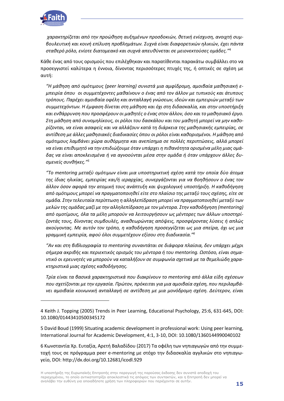

*χαρακτηρίζεται από την προώθηση αυξημένων προσδοκιών, θετική ενίσχυση, ανοιχτή συμβουλευτική και κοινή επίλυση προβλημάτων. Συχνά είναι διαφορετικών ηλικιών, έχει πάντα σταθερό ρόλο, ενίοτε διατομεακό και συχνά απευθύνεται σε μειονεκτούσες ομάδες."*<sup>4</sup>

Κάθε ένας από τους ορισμούς που επιλέχθηκαν και παρατίθενται παρακάτω συμβάλλει στο να προσεγγιστεί καλύτερα η έννοια, δίνοντας περισσότερες πτυχές της, ή οπτικές σε σχέση με αυτή:

*"Η μάθηση από ομότιμους (peer learning) συνιστά μια αμφίδρομη, αμοιβαία μαθησιακή εμπειρία όπου οι συμμετέχοντες μαθαίνουν ο ένας από τον άλλον με τυπικούς και άτυπους τρόπους. Παρέχει αμοιβαία οφέλη και ανταλλαγή γνώσεων, ιδεών και εμπειριών μεταξύ των συμμετεχόντων. Η έμφαση δίνεται στη μάθηση και όχι στη διδασκαλία, και στην υποστήριξη και ενθάρρυνση που προσφέρουν οι μαθητές ο ένας στον άλλον, όσο και το μαθησιακό έργο. Στη μάθηση από συνομηλίκους, οι ρόλοι του δασκάλου και του μαθητή μπορεί να μην καθορίζονται, να είναι ασαφείς και να αλλάζουν κατά τη διάρκεια της μαθησιακής εμπειρίας, σε αντίθεση με άλλες μαθησιακές διαδικασίες όπου οι ρόλοι είναι καθορισμένοι. Η μάθηση από ομότιμους λαμβάνει χώρα αυθόρμητα και ανεπίσημα σε πολλές περιπτώσεις, αλλά μπορεί να είναι επιθυμητό να την επιδιώξουμε όταν υπάρχει η πιθανότητα ορισμένα μέλη μιας ομάδας να είναι αποκλεισμένα ή να αγνοούνται μέσα στην ομάδα ή όταν υπάρχουν άλλες δυσμενείς συνθήκες."<sup>5</sup>*

*"Το mentoring μεταξύ ομότιμων είναι μια υποστηρικτική σχέση κατά την οποία δύο άτομα της ίδιας ηλικίας, εμπειρίας και/ή ιεραρχίας, συνεργάζονται για να βοηθήσουν ο ένας τον άλλον όσον αφορά την ατομική τους ανάπτυξη και ψυχολογική υποστήριξη. Η καθοδήγηση από ομότιμους μπορεί να πραγματοποιηθεί είτε στο πλαίσιο της μεταξύ τους σχέσης, είτε σε ομάδα. Στην τελευταία περίπτωση η αλληλεπίδραση μπορεί να πραγματοποιηθεί μεταξύ των μελών της ομάδας μαζί με την αλληλεπίδραση με τον μέντορα. Στην καθοδήγηση (mentoring) από ομοτίμους, όλα τα μέλη μπορούν να λειτουργήσουν ως μέντορες των άλλων υποστηρίζοντάς τους, δίνοντας συμβουλές, αναθεωρώντας απόψεις, προσφέροντας λύσεις ή απλώς ακούγοντας. Με αυτόν τον τρόπο, η καθοδήγηση προσεγγίζεται ως μια σπείρα, όχι ως μια γραμμική εμπειρία, αφού όλοι συμμετέχουν εξίσου στη διαδικασία."<sup>6</sup>*

*"Αν και στη βιβλιογραφία το mentoring συναντάται σε διάφορα πλαίσια, δεν υπάρχει μέχρι σήμερα ακριβής και περιεκτικός ορισμός του μέντορα ή του mentoring. Ωστόσο, είναι σημαντικό οι ερευνητές να μπορούν να καταλήξουν σε συμφωνία σχετικά με τα θεμελιώδη χαρακτηριστικά μιας σχέσης καθοδήγησης.*

*Τρία είναι τα βασικά χαρακτηριστικά που διακρίνουν το mentoring από άλλα είδη σχέσεων που σχετίζονται με την εργασία. Πρώτον, πρόκειται για μια αμοιβαία σχέση, που περιλαμβάνει αμοιβαία κοινωνική ανταλλαγή σε αντίθεση με μια μονόδρομη σχέση. Δεύτερον, είναι* 

6 Κωνσταντία Χρ. Ευταξία, Αρετή Βαλαδίδου (2017) Τα οφέλη των νηπιαγωγών από την συμμετοχή τους σε πρόγραμμα peer e-mentoring με στόχο την διδασκαλία αγγλικών στο νηπιαγωγείο, DOI: http://dx.doi.org/10.12681/icodl.929

<sup>4</sup> Keith J. Topping (2005) Trends in Peer Learning, Educational Psychology, 25:6, 631-645, DOI: 10.1080/01443410500345172

<sup>5</sup> David Boud (1999) Situating academic development in professional work: Using peer learning, International Journal for Academic Development, 4:1, 3-10, DOI: 10.1080/1360144990040102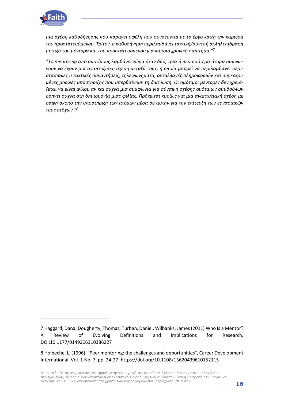

*μια σχέση καθοδήγησης που παράγει οφέλη που συνδέονται με το έργο και/ή την καριέρα του προστατευόμενου. Τρίτον, η καθοδήγηση περιλαμβάνει τακτική/συνεπή αλληλεπίδραση μεταξύ του μέντορα και του προστατευόμενου για κάποιο χρονικό διάστημα."<sup>7</sup>*

*"Το mentoring από ομοτίμους λαμβάνει χώρα όταν δύο, τρία ή περισσότερα άτομα συμφωνούν να έχουν μια αναπτυξιακή σχέση μεταξύ τους, η οποία μπορεί να περιλαμβάνει περιστασιακές ή τακτικές συναντήσεις, τηλεφωνήματα, ανταλλαγές πληροφοριών και συγκεκριμένες μορφές υποστήριξης που υπερβαίνουν τη δικτύωση. Οι ομότιμοι μέντορες δεν χρειάζεται να είναι φίλοι, αν και συχνά μια συμφωνία για σύναψη σχέσης ομότιμων συμβούλων οδηγεί συχνά στη δημιουργία μιας φιλίας. Πρόκειται κυρίως για μια αναπτυξιακή σχέση με σαφή σκοπό την υποστήριξη των ατόμων μέσα σε αυτήν για την επίτευξη των εργασιακών τους στόχων."<sup>8</sup>*

<sup>7</sup> Haggard, Dana, Dougherty, Thomas, Turban, Daniel, Wilbanks, James (2011) Who Is a Mentor? A Review of Evolving Definitions and Implications for Research, DOI:10.1177/0149206310386227

<sup>8</sup> Holbeche, L. (1996), "Peer mentoring: the challenges and opportunities", Career Development International, Vol. 1 No. 7, pp. 24-27. https://doi.org/10.1108/13620439610152115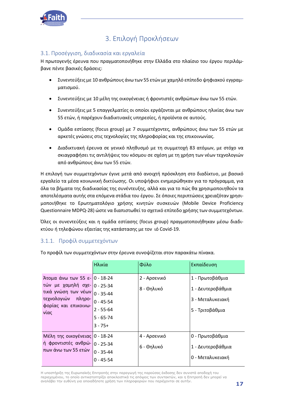

## 3. Επιλογή Προκλήσεων

#### <span id="page-16-1"></span><span id="page-16-0"></span>3.1. Προσέγγιση, διαδικασία και εργαλεία

Η πρωτογενής έρευνα που πραγματοποιήθηκε στην Ελλάδα στο πλαίσιο του έργου περιλάμβανε πέντε βασικές δράσεις:

- Συνεντεύξεις με 10 ανθρώπους άνω των 55 ετών με χαμηλό επίπεδο ψηφιακού εγγραμματισμού.
- Συνεντεύξεις με 10 μέλη της οικογένειας ή φροντιστές ανθρώπων άνω των 55 ετών.
- Συνεντεύξεις με 5 επαγγελματίες οι οποίοι εργάζονται με ανθρώπους ηλικίας άνω των 55 ετών, ή παρέχουν διαδικτυακές υπηρεσίες, ή προϊόντα σε αυτούς.
- Ομάδα εστίασης (focus group) με 7 συμμετέχοντες, ανθρώπους άνω των 55 ετών με αρκετές γνώσεις στις τεχνολογίες της πληροφορίας και της επικοινωνίας.
- Διαδικτυακή έρευνα σε γενικό πληθυσμό με τη συμμετοχή 83 ατόμων, με στόχο να σκιαγραφήσει τις αντιλήψεις του κόσμου σε σχέση με τη χρήση των νέων τεχνολογιών από ανθρώπους άνω των 55 ετών.

Η επιλογή των συμμετεχόντων έγινε μετά από ανοιχτή πρόσκληση στο διαδίκτυο, με βασικό εργαλείο τα μέσα κοινωνική δικτύωσης. Οι υποψήφιοι ενημερώθηκαν για το πρόγραμμα, για όλα τα βήματα της διαδικασίας της συνέντευξης, αλλά και για το πώς θα χρησιμοποιηθούν τα αποτελέσματα αυτής στα επόμενα στάδια του έργου. Σε όποιες περιπτώσεις χρειαζόταν χρησιμοποιήθηκε το Ερωτηματολόγιο χρήσης κινητών συσκευών (Mobile Device Proficiency Questionnaire MDPQ-28) ώστε να διαπιστωθεί το σχετικό επίπεδο χρήσης των συμμετεχόντων.

Όλες οι συνεντεύξεις και η ομάδα εστίασης (focus group) πραγματοποιήθηκαν μέσω διαδικτύου ή τηλεφώνου εξαιτίας της κατάστασης με τον ιό Covid-19.

#### 3.1.1. Προφίλ συμμετεχόντων

|                                                                                                                                                           | Ηλικία                                                        | Φύλο                       | Εκπαίδευση                                                                  |
|-----------------------------------------------------------------------------------------------------------------------------------------------------------|---------------------------------------------------------------|----------------------------|-----------------------------------------------------------------------------|
| Άτομα άνω των 55 ε- 0 - 18-24<br>τών με χαμηλή σχε- $ 0-25-34 $<br>τικά γνώση των νέων 0 - 35-44<br>τεχνολογιών<br>πληρο-<br>φορίας και επικοινω-<br>νίας | $0 - 45 - 54$<br>$2 - 55 - 64$<br>$5 - 65 - 74$<br>$3 - 75 +$ | 2 - Αρσενικό<br>8 - Θηλυκό | 1 - Πρωτοβάθμια<br>1 - Δευτεροβάθμια<br>3 - Μεταλυκειακή<br>5 - Τριτοβάθμια |
| Μέλη της οικογένειας 0 - 18-24<br>ή φροντιστές ανθρώ-<br>πων άνω των 55 ετών                                                                              | $0 - 25 - 34$<br>$0 - 35 - 44$<br>$0 - 45 - 54$               | 4 - Αρσενικό<br>6 - Θηλυκό | 0 - Πρωτοβάθμια<br>1 - Δευτεροβάθμια<br>0 - Μεταλυκειακή                    |

Το προφίλ των συμμετεχόντων στην έρευνα συνοψίζεται στον παρακάτω πίνακα.

Η υποστήριξη της Ευρωπαϊκής Επιτροπής στην παραγωγή της παρούσας έκδοσης δεν συνιστά αποδοχή του περιεχομένου, το οποίο αντικατοπτρίζει αποκλειστικά τις απόψεις των συντακτών, και η Επιτροπή δεν μπορεί να αναλάβει την ευθύνη για οποιαδήποτε χρήση των πληροφοριών που περιέχονται σε αυτήν.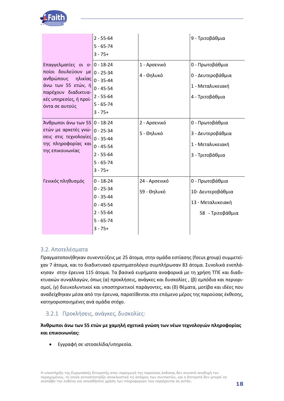

|                                                                                                                                                                      | $2 - 55 - 64$<br>$5 - 65 - 74$<br>$3 - 75 +$                                                                     |                              | 9 - Τριτοβάθμια                                                               |
|----------------------------------------------------------------------------------------------------------------------------------------------------------------------|------------------------------------------------------------------------------------------------------------------|------------------------------|-------------------------------------------------------------------------------|
| Επαγγελματίες οι ο- 0 - 18-24<br>ποίοι δουλεύουν με<br>ανθρώπους<br>ηλικίας<br>άνω των 55 ετών, ή<br>παρέχουν διαδικτυα-<br>κές υπηρεσίες, ή προϊ-<br>όντα σε αυτούς | $0 - 25 - 34$<br>$0 - 35 - 44$<br>$0 - 45 - 54$<br>$2 - 55 - 64$<br>$5 - 65 - 74$<br>$3 - 75 +$                  | 1 - Αρσενικό<br>4 - Θηλυκό   | 0 - Πρωτοβάθμια<br>0 - Δευτεροβάθμια<br>1 - Μεταλυκειακή<br>4 - Τριτοβάθμια   |
| Άνθρωποι άνω των 55<br>ετών με αρκετές γνώ-<br>σεις στις τεχνολογίες<br>της πληροφορίας και<br>της επικοινωνίας                                                      | $0 - 18 - 24$<br>$0 - 25 - 34$<br>$0 - 35 - 44$<br>$0 - 45 - 54$<br>$2 - 55 - 64$<br>$5 - 65 - 74$<br>$3 - 75 +$ | 2 - Αρσενικό<br>5 - Θηλυκό   | 0 - Πρωτοβάθμια<br>3 - Δευτεροβάθμια<br>1 - Μεταλυκειακή<br>3 - Τριτοβάθμια   |
| Γενικός πληθυσμός                                                                                                                                                    | $0 - 18 - 24$<br>$0 - 25 - 34$<br>$0 - 35 - 44$<br>$0 - 45 - 54$<br>$2 - 55 - 64$<br>$5 - 65 - 74$<br>$3 - 75 +$ | 24 - Αρσενικό<br>59 - Θηλυκό | 0 - Πρωτοβάθμια<br>10- Δευτεροβάθμια<br>13 - Μεταλυκειακή<br>58 - Τριτοβάθμια |

#### <span id="page-17-0"></span>3.2. Αποτελέσματα

Πραγματοποιήθηκαν συνεντεύξεις με 25 άτομα, στην ομάδα εστίασης (focus group) συμμετείχαν 7 άτομα, και το διαδικτυακό ερωτηματολόγιο συμπλήρωσαν 83 άτομα. Συνολικά ενεπλάκησαν στην έρευνα 115 άτομα. Τα βασικά ευρήματα αναφορικά με τη χρήση ΤΠΕ και διαδικτυακών συναλλαγών, όπως (α) προκλήσεις, ανάγκες και δυσκολίες , (β) εμπόδια και περιορισμοί, (γ) διευκολυντικοί και υποστηρικτικοί παράγοντες, και (δ) θέματα, μοτίβα και ιδέες που αναδείχθηκαν μέσα από την έρευνα, παρατίθενται στο επόμενο μέρος της παρούσας έκθεσης, κατηγοριοποιημένες ανά ομάδα στόχο.

#### 3.2.1 Προκλήσεις, ανάγκες, δυσκολίες:

**Άνθρωποι άνω των 55 ετών με χαμηλή σχετικά γνώση των νέων τεχνολογιών πληροφορίας και επικοινωνίας:** 

• Εγγραφή σε ιστοσελίδα/υπηρεσία.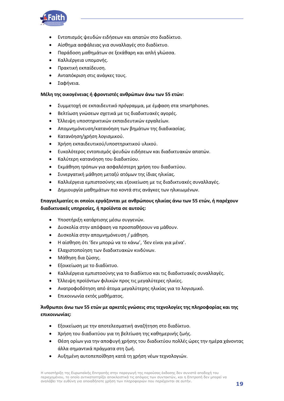

- Εντοπισμός ψευδών ειδήσεων και απατών στο διαδίκτυο.
- Αίσθημα ασφάλειας για συναλλαγές στο διαδίκτυο.
- Παράδοση μαθημάτων σε ξεκάθαρη και απλή γλώσσα.
- Καλλιέργεια υπομονής.
- Πρακτική εκπαίδευση.
- Ανταπόκριση στις ανάγκες τους.
- Σαφήνεια.

#### **Μέλη της οικογένειας ή φροντιστές ανθρώπων άνω των 55 ετών:**

- Συμμετοχή σε εκπαιδευτικό πρόγραμμα, με έμφαση στα smartphones.
- Βελτίωση γνώσεων σχετικά με τις διαδικτυακές αγορές.
- Έλλειψη υποστηρικτικών εκπαιδευτικών εργαλείων.
- Απομνημόνευση/κατανόηση των βημάτων της διαδικασίας.
- Κατανόηση/χρήση λογισμικού.
- Χρήση εκπαιδευτικού/υποστηρικτικού υλικού.
- Ευκολότερος εντοπισμός ψευδών ειδήσεων και διαδικτυακών απατών.
- Καλύτερη κατανόηση του διαδικτύου.
- Εκμάθηση τρόπων για ασφαλέστερη χρήση του διαδικτύου.
- Συνεργατική μάθηση μεταξύ ατόμων της ίδιας ηλικίας.
- Καλλιέργεια εμπιστοσύνης και εξοικείωση με τις διαδικτυακές συναλλαγές.
- Δημιουργία μαθημάτων πιο κοντά στις ανάγκες των ηλικιωμένων.

#### **Επαγγελματίες οι οποίοι εργάζονται με ανθρώπους ηλικίας άνω των 55 ετών, ή παρέχουν διαδικτυακές υπηρεσίες, ή προϊόντα σε αυτούς:**

- Υποστήριξη κατάρτισης μέσω συγγενών.
- Δυσκολία στην απόφαση να προσπαθήσουν να μάθουν.
- Δυσκολία στην απομνημόνευση / μάθηση.
- Η αίσθηση ότι 'δεν μπορώ να το κάνω', 'δεν είναι για μένα'.
- Ελαχιστοποίηση των διαδικτυακών κινδύνων.
- Μάθηση δια ζώσης.
- Εξοικείωση με το διαδίκτυο.
- Καλλιέργεια εμπιστοσύνης για το διαδίκτυο και τις διαδικτυακές συναλλαγές.
- Έλλειψη προϊόντων φιλικών προς τις μεγαλύτερες ηλικίες.
- Ανατροφοδότηση από άτομα μεγαλύτερης ηλικίας για το λογισμικό.
- Επικοινωνία εκτός μαθήματος.

#### **Άνθρωποι άνω των 55 ετών με αρκετές γνώσεις στις τεχνολογίες της πληροφορίας και της επικοινωνίας:**

- Εξοικείωση με την αποτελεσματική αναζήτηση στο διαδίκτυο.
- Χρήση του διαδικτύου για τη βελτίωση της καθημερινής ζωής.
- Θέση ορίων για την αποφυγή χρήσης του διαδικτύου πολλές ώρες την ημέρα χάνοντας άλλα σημαντικά πράγματα στη ζωή.
- Αυξημένη αυτοπεποίθηση κατά τη χρήση νέων τεχνολογιών.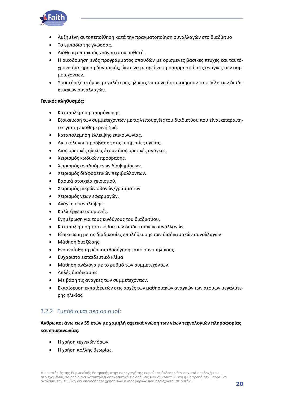

- Αυξημένη αυτοπεποίθηση κατά την πραγματοποίηση συναλλαγών στο διαδίκτυο
- Το εμπόδιο της γλώσσας.
- Διάθεση επαρκούς χρόνου στον μαθητή.
- Η οικοδόμηση ενός προγράμματος σπουδών με ορισμένες βασικές πτυχές και ταυτόχρονα διατήρηση δυναμικής, ώστε να μπορεί να προσαρμοστεί στις ανάγκες των συμμετεχόντων.
- Υποστήριξη ατόμων μεγαλύτερης ηλικίας να συνειδητοποιήσουν τα οφέλη των διαδικτυακών συναλλαγών.

#### **Γενικός πληθυσμός:**

- Καταπολέμηση απομόνωσης.
- Εξοικείωση των συμμετεχόντων με τις λειτουργίες του διαδικτύου που είναι απαραίτητες για την καθημερινή ζωή.
- Καταπολέμηση έλλειψης επικοινωνίας.
- Διευκόλυνση πρόσβασης στις υπηρεσίες υγείας.
- Διαφορετικές ηλικίες έχουν διαφορετικές ανάγκες.
- Χειρισμός κωδικών πρόσβασης.
- Χειρισμός αναδυόμενων διαφημίσεων.
- Χειρισμός διαφορετικών περιβαλλόντων.
- Βασικά στοιχεία χειρισμού.
- Χειρισμός μικρών οθονών/γραμμάτων.
- Χειρισμός νέων εφαρμογών.
- Ανάγκη επανάληψης.
- Καλλιέργεια υπομονής.
- Ενημέρωση για τους κινδύνους του διαδικτύου.
- Καταπολέμηση του φόβου των διαδικτυακών συναλλαγών.
- Εξοικείωση με τις διαδικασίες επαλήθευσης των διαδικτυακών συναλλαγών
- Μάθηση δια ζώσης.
- Ενσυναίσθηση μέσω καθοδήγησης από συνομηλίκους.
- Ευχάριστο εκπαιδευτικό κλίμα.
- Μάθηση ανάλογα με το ρυθμό των συμμετεχόντων.
- Απλές διαδικασίες.
- Με βάση τις ανάγκες των συμμετεχόντων.
- Εκπαίδευση εκπαιδευτών στις αρχές των μαθησιακών αναγκών των ατόμων μεγαλύτερης ηλικίας.

#### 3.2.2 Εμπόδια και περιορισμοί:

#### **Άνθρωποι άνω των 55 ετών με χαμηλή σχετικά γνώση των νέων τεχνολογιών πληροφορίας και επικοινωνίας:**

- Η χρήση τεχνικών όρων.
- Η χρήση πολλής θεωρίας.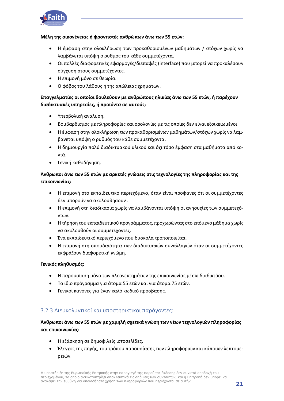

#### **Μέλη της οικογένειας ή φροντιστές ανθρώπων άνω των 55 ετών:**

- Η έμφαση στην ολοκλήρωση των προκαθορισμένων μαθημάτων / στόχων χωρίς να λαμβάνεται υπόψη ο ρυθμός του κάθε συμμετέχοντα.
- Οι πολλές διαφορετικές εφαρμογές/διεπαφές (interface) που μπορεί να προκαλέσουν σύγχυση στους συμμετέχοντες.
- Η επιμονή μόνο σε θεωρία.
- Ο φόβος του λάθους ή της απώλειας χρημάτων.

#### **Επαγγελματίες οι οποίοι δουλεύουν με ανθρώπους ηλικίας άνω των 55 ετών, ή παρέχουν διαδικτυακές υπηρεσίες, ή προϊόντα σε αυτούς:**

- Υπερβολική ανάλυση.
- Βομβαρδισμός με πληροφορίες και ορολογίες με τις οποίες δεν είναι εξοικειωμένοι.
- Η έμφαση στην ολοκλήρωση των προκαθορισμένων μαθημάτων/στόχων χωρίς να λαμβάνεται υπόψη ο ρυθμός του κάθε συμμετέχοντα.
- Η δημιουργία πολύ διαδικτυακού υλικού και όχι τόσο έμφαση στα μαθήματα από κοντά.
- Γενική καθοδήγηση.

#### **Άνθρωποι άνω των 55 ετών με αρκετές γνώσεις στις τεχνολογίες της πληροφορίας και της επικοινωνίας:**

- Η επιμονή στο εκπαιδευτικό περιεχόμενο, όταν είναι προφανές ότι οι συμμετέχοντες δεν μπορούν να ακολουθήσουν .
- Η επιμονή στη διαδικασία χωρίς να λαμβάνονται υπόψη οι ανησυχίες των συμμετεχόντων.
- Η τήρηση του εκπαιδευτικού προγράμματος, προχωρώντας στο επόμενο μάθημα χωρίς να ακολουθούν οι συμμετέχοντες.
- Ένα εκπαιδευτικό περιεχόμενο που δύσκολα τροποποιείται.
- Η επιμονή στη σπουδαιότητα των διαδικτυακών συναλλαγών όταν οι συμμετέχοντες εκφράζουν διαφορετική γνώμη.

#### **Γενικός πληθυσμός:**

- Η παρουσίαση μόνο των πλεονεκτημάτων της επικοινωνίας μέσω διαδικτύου.
- Το ίδιο πρόγραμμα για άτομα 55 ετών και για άτομα 75 ετών.
- Γενικοί κανόνες για έναν καλό κωδικό πρόσβασης.

#### 3.2.3 Διευκολυντικοί και υποστηρικτικοί παράγοντες:

#### **Άνθρωποι άνω των 55 ετών με χαμηλή σχετικά γνώση των νέων τεχνολογιών πληροφορίας και επικοινωνίας:**

- Η εξάσκηση σε δημοφιλείς ιστοσελίδες.
- Έλεγχος της πηγής, του τρόπου παρουσίασης των πληροφοριών και κάποιων λεπτομερειών.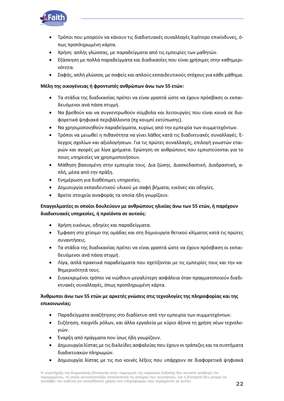

- Τρόποι που μπορούν να κάνουν τις διαδικτυακές συναλλαγές λιγότερο επικίνδυνες, όπως προπληρωμένη κάρτα.
- Χρήση απλής γλώσσας, με παραδείγματα από τις εμπειρίες των μαθητών.
- Εξάσκηση με πολλά παραδείγματα και διαδικασίες που είναι χρήσιμες στην καθημερινότητα.
- Σαφής, απλή γλώσσα, με σαφείς και απλούς εκπαιδευτικούς στόχους για κάθε μάθημα.

#### **Μέλη της οικογένειας ή φροντιστές ανθρώπων άνω των 55 ετών:**

- Τα στάδια της διαδικασίας πρέπει να είναι γραπτά ώστε να έχουν πρόσβαση οι εκπαιδευόμενοι ανά πάσα στιγμή.
- Να βρεθούν και να συγκεντρωθούν σύμβολα και λειτουργίες που είναι κοινά σε διαφορετικά ψηφιακά περιβάλλοντα (πχ κουμπί εκτύπωσης).
- Να χρησιμοποιηθούν παραδείγματα, κυρίως από την εμπειρία των συμμετεχόντων.
- Τρόποι να μειωθεί η πιθανότητα να γίνει λάθος κατά τις διαδικτυακές συναλλαγές. Έλεγχος σχολίων και αξιολογήσεων. Για τις πρώτες συναλλαγές, επιλογή γνωστών εταιριών και αγορές με λίγα χρήματα. Ερώτηση σε ανθρώπους που εμπιστεύονται για το ποιες υπηρεσίες να χρησιμοποιήσουν.
- Μάθηση βασισμένη στην εμπειρία τους. Δια ζώσης. Διασκεδαστική. Διαδραστική, απλή, μέσα από την πράξη.
- Ενημέρωση για διαθέσιμες υπηρεσίες.
- Δημιουργία εκπαιδευτικού υλικού με σαφή βήματα, εικόνες και οδηγίες.
- Βρείτε στοιχεία αναφοράς τα οποία ήδη γνωρίζουν.

#### **Επαγγελματίες οι οποίοι δουλεύουν με ανθρώπους ηλικίας άνω των 55 ετών, ή παρέχουν διαδικτυακές υπηρεσίες, ή προϊόντα σε αυτούς:**

- Χρήση εικόνων, οδηγίες και παραδείγματα.
- Έμφαση στο χτίσιμο της ομάδας και στη δημιουργία θετικού κλίματος κατά τις πρώτες συναντήσεις.
- Τα στάδια της διαδικασίας πρέπει να είναι γραπτά ώστε να έχουν πρόσβαση οι εκπαιδευόμενοι ανά πάσα στιγμή.
- Λίγα, απλά πρακτικά παραδείγματα που σχετίζονται με τις εμπειρίες τους και την καθημερινότητά τους.
- Συγκεκριμένοι τρόποι να νιώθουν μεγαλύτερη ασφάλεια όταν πραγματοποιούν διαδικτυακές συναλλαγές, όπως προπληρωμένη κάρτα.

#### **Άνθρωποι άνω των 55 ετών με αρκετές γνώσεις στις τεχνολογίες της πληροφορίας και της επικοινωνίας:**

- Παραδείγματα αναζήτησης στο διαδίκτυο από την εμπειρία των συμμετεχόντων.
- Συζήτηση, παιχνίδι ρόλων, και άλλα εργαλεία με κύριο άξονα τη χρήση νέων τεχνολογιών.
- Έναρξη από πράγματα που ίσως ήδη γνωρίζουν.
- Δημιουργία λίστας με τις δικλείδες ασφαλείας που έχουν οι τράπεζες και τα συστήματα διαδικτυακών πληρωμών.
- Δημιουργία λίστας με τις πιο κοινές λέξεις που υπάρχουν σε διαφορετικά ψηφιακά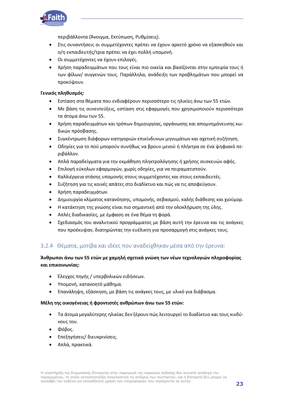

περιβάλλοντα (Άνοιγμα, Εκτύπωση, Ρυθμίσεις).

- Στις συναντήσεις οι συμμετέχοντες πρέπει να έχουν αρκετό χρόνο να εξασκηθούν και ο/η εκπαιδευτής/τρια πρέπει να έχει πολλή υπομονή.
- Οι συμμετέχοντες να έχουν επιλογές.
- Χρήση παραδειγμάτων που τους είναι πιο οικεία και βασίζονται στην εμπειρία τους ή των φίλων/ συγγενών τους. Παράλληλα, ανάδειξη των προβλημάτων που μπορεί να προκύψουν.

#### **Γενικός πληθυσμός:**

- Εστίαση στα θέματα που ενδιαφέρουν περισσότερο τις ηλικίες άνω των 55 ετών.
- Με βάση τις συνεντεύξεις, εστίαση στις εφαρμογές που χρησιμοποιούν περισσότερο τα άτομα άνω των 55.
- Χρήση παραδειγμάτων και τρόπων δημιουργίας, οργάνωσης και απομνημόνευσης κωδικών πρόσβασης.
- Συγκέντρωση διάφορων κατηγοριών επικίνδυνων μηνυμάτων και σχετική συζήτηση.
- Οδηγίες για το πού μπορούν συνήθως να βρουν μενού ή πλήκτρα σε ένα ψηφιακό περιβάλλον.
- Απλά παραδείγματα για την εκμάθηση πληκτρολόγησης ή χρήσης συσκευών αφής.
- Επιλογή εύκολων εφαρμογών, χωρίς οδηγίες, για να πειραματιστούν.
- Καλλιέργεια στάσης υπομονής στους συμμετέχοντες και στους εκπαιδευτές.
- Συζήτηση για τις κοινές απάτες στο διαδίκτυο και πώς να τις αποφεύγουν.
- Χρήση παραδειγμάτων.
- Δημιουργία κλίματος κατανόησης, υπομονής, σεβασμού, καλής διάθεσης και χιούμορ.
- Η κατάκτηση της γνώσης είναι πιο σημαντική από την ολοκλήρωση της ύλης.
- Απλές διαδικασίες, με έμφαση σε ένα θέμα τη φορά.
- Σχεδιασμός του αναλυτικού προγράμματος με βάση αυτή την έρευνα και τις ανάγκες που προέκυψαν, διατηρώντας την ευέλικτη για προσαρμογή στις ανάγκες τους.

#### 3.2.4 Θέματα, μοτίβα και ιδέες που αναδείχθηκαν μέσα από την έρευνα:

#### **Άνθρωποι άνω των 55 ετών με χαμηλή σχετικά γνώση των νέων τεχνολογιών πληροφορίας και επικοινωνίας:**

- Έλεγχος πηγής / υπερβολικών ειδήσεων.
- Υπομονή, κατανοητό μάθημα.
- Επανάληψη, εξάσκηση, με βάση τις ανάγκες τους, με υλικό για διάβασμα.

#### **Μέλη της οικογένειας ή φροντιστές ανθρώπων άνω των 55 ετών:**

- Τα άτομα μεγαλύτερης ηλικίας δεν ξέρουν πώς λειτουργεί το διαδίκτυο και τους κινδύνους του.
- Φόβος.
- Επεξηγήσεις/ διευκρινίσεις.
- Απλά, πρακτικά.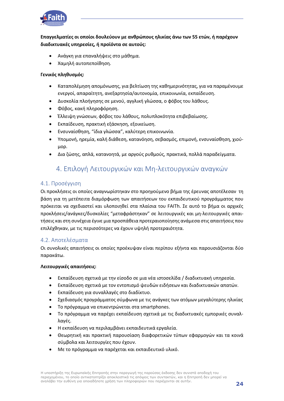

**Επαγγελματίες οι οποίοι δουλεύουν με ανθρώπους ηλικίας άνω των 55 ετών, ή παρέχουν διαδικτυακές υπηρεσίες, ή προϊόντα σε αυτούς:**

- Ανάγκη για επαναλήψεις στο μάθημα.
- Χαμηλή αυτοπεποίθηση.

#### **Γενικός πληθυσμός:**

- Καταπολέμηση απομόνωσης, για βελτίωση της καθημερινότητας, για να παραμένουμε ενεργοί, απαραίτητη, ανεξαρτησία/αυτονομία, επικοινωνία, εκπαίδευση.
- Δυσκολία πλοήγησης σε μενού, αγγλική γλώσσα, ο φόβος του λάθους.
- Φόβος, κακή πληροφόρηση.
- Έλλειψη γνώσεων, φόβος του λάθους, πολυπλοκότητα επιβεβαίωσης.
- Εκπαίδευση, πρακτική εξάσκηση, εξοικείωση.
- Ενσυναίσθηση, "ίδια γλώσσα", καλύτερη επικοινωνία.
- Υπομονή, ηρεμία, καλή διάθεση, κατανόηση, σεβασμός, επιμονή, ενσυναίσθηση, χιούμορ.
- <span id="page-23-0"></span>• Δια ζώσης, απλά, κατανοητά, με αργούς ρυθμούς, πρακτικά, πολλά παραδείγματα.

### 4. Επιλογή Λειτουργικών και Μη-λειτουργικών αναγκών

#### <span id="page-23-1"></span>4.1. Προσέγγιση

Οι προκλήσεις οι οποίες αναγνωρίστηκαν στο προηγούμενο βήμα της έρευνας αποτέλεσαν τη βάση για τη μετέπειτα διαμόρφωση των απαιτήσεων του εκπαιδευτικού προγράμματος που πρόκειται να σχεδιαστεί και υλοποιηθεί στα πλαίσια του FAITh. Σε αυτό το βήμα οι αρχικές προκλήσεις/ανάγκες/δυσκολίες "μεταφράστηκαν" σε λειτουργικές και μη-λειτουργικές απαιτήσεις και στη συνέχεια έγινε μια προσπάθεια προτεραιοποίησης ανάμεσα στις απαιτήσεις που επιλέχθηκαν, με τις περισσότερες να έχουν υψηλή προτεραιότητα.

#### <span id="page-23-2"></span>4.2. Αποτελέσματα

Οι συνολικές απαιτήσεις οι οποίες προέκυψαν είναι περίπου εξήντα και παρουσιάζονται δύο παρακάτω.

#### **Λειτουργικές απαιτήσεις:**

- Εκπαίδευση σχετικά με την είσοδο σε μια νέα ιστοσελίδα / διαδικτυακή υπηρεσία.
- Εκπαίδευση σχετικά με τον εντοπισμό ψευδών ειδήσεων και διαδικτυακών απατών.
- Εκπαίδευση για συναλλαγές στο διαδίκτυο.
- Σχεδιασμός προγράμματος σύμφωνα με τις ανάγκες των ατόμων μεγαλύτερης ηλικίας
- Το πρόγραμμα να επικεντρώνεται στα smartphones.
- Το πρόγραμμα να παρέχει εκπαίδευση σχετικά με τις διαδικτυακές εμπορικές συναλλαγές.
- Η εκπαίδευση να περιλαμβάνει εκπαιδευτικά εργαλεία.
- Θεωρητική και πρακτική παρουσίαση διαφορετικών τύπων εφαρμογών και τα κοινά σύμβολα και λειτουργίες που έχουν.
- Με το πρόγραμμα να παρέχεται και εκπαιδευτικό υλικό.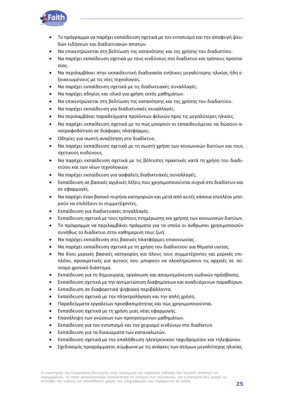

- Το πρόγραμμα να παρέχει εκπαίδευση σχετικά με τον εντοπισμό και την αποφυγή ψευδών ειδήσεων και διαδικτυακών απατών.
- Να επικεντρώνεται στη βελτίωση της κατανόησης και της χρήσης του διαδικτύου.
- Να παρέχει εκπαίδευση σχετικά με τους κινδύνους στο διαδίκτυο και τρόπους προστασίας.
- Να περιλαμβάνει στην εκπαιδευτική διαδικασία ενήλικες μεγαλύτερης ηλικίας ήδη εξοικειωμένους με τις νέες τεχνολογίες.
- Να παρέχει εκπαίδευση σχετικά με τις διαδικτυακές συναλλαγές.
- Να παρέχει οδηγίες και υλικό για χρήση εκτός μαθημάτων.
- Να επικεντρώνεται στη βελτίωση της κατανόησης και της χρήσης του διαδικτύου.
- Να παρέχει εκπαίδευση για διαδικτυακές συναλλαγές.
- Να περιλαμβάνει παραδείγματα προϊόντων φιλικών προς τις μεγαλύτερες ηλικίες.
- Να παρέχει εκπαίδευση σχετικά με το πώς μπορούν οι εκπαιδευόμενοι να δώσουν ανατροφοδότηση σε διάφορες πλατφόρμες.
- Οδηγίες για σωστή αναζήτηση στο διαδίκτυο.
- Να παρέχει εκπαίδευση σχετικά με τη σωστή χρήση των κοινωνικών δικτύων και τους σχετικούς κινδύνους.
- Να παρέχει εκπαίδευση σχετικά με τις βέλτιστες πρακτικές κατά τη χρήση του διαδικτύου και των νέων τεχνολογιών.
- Να παρέχει εκπαίδευση για ασφαλείς διαδικτυακές συναλλαγές.
- Εκπαίδευση σε βασικές αγγλικές λέξεις που χρησιμοποιούνται συχνά στο διαδίκτυο και σε εφαρμογές.
- Να παρέχει έναν βασικό πυρήνα κατηγοριών και μετά από αυτές κάποια επιπλέον μπορούν να επιλέξουν οι συμμετέχοντες.
- Εκπαίδευση για διαδικτυακές συναλλαγές.
- Εκπαίδευση σχετικά με τους τρόπους ενημέρωσης και χρήσης των κοινωνικών δικτύων.
- Το πρόγραμμα να περιλαμβάνει πράγματα για τα οποία οι άνθρωποι χρησιμοποιούν συνήθως το διαδίκτυο στην καθημερινή τους ζωή.
- Να παρέχει εκπαίδευση στις βασικές πλατφόρμες επικοινωνίας.
- Να παρέχει εκπαίδευση σχετικά με τη χρήση του διαδικτύου για θέματα υγείας.
- Να δίνει μερικές βασικές κατηγορίες για όλους τους συμμετέχοντες και μερικές επιπλέον, προαιρετικές για αυτούς που μπορούν να ολοκληρώσουν τις αρχικές σε σύντομο χρονικό διάστημα.
- Εκπαίδευση για τη δημιουργία, οργάνωση και απομνημόνευση κωδικών πρόσβασης.
- Εκπαίδευση σχετικά με την αντιμετώπιση διαφημίσεων και αναδυόμενων παραθύρων.
- Εκπαίδευση σε διαφορετικά ψηφιακά περιβάλλοντα.
- Εκπαίδευση σχετικά με την πληκτρολόγηση και την απλή χρήση.
- Παραδείγματα εργαλείων προσβασιμότητας και πώς χρησιμοποιούνται.
- Εκπαίδευση σχετικά με τη χρήση μιας νέας εφαρμογής.
- Επανάληψη των γνώσεων των προηγούμενων μαθημάτων.
- Εκπαίδευση για τον εντοπισμό και τον χειρισμό κινδύνων στο διαδίκτυο.
- Εκπαίδευση για τα δικαιώματα των καταναλωτών.
- Εκπαίδευση σχετικά με την επαλήθευση ηλεκτρονικού ταχυδρομείου και τηλεφώνου.
- Σχεδιασμός προγράμματος σύμφωνα με τις ανάγκες των ατόμων μεγαλύτερης ηλικίας.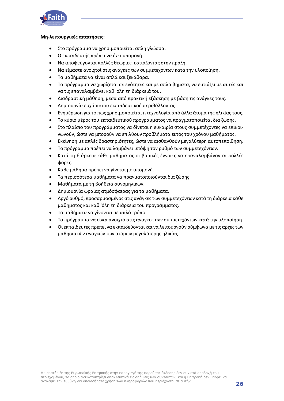

#### **Μη-λειτουργικές απαιτήσεις:**

- Στο πρόγραμμα να χρησιμοποιείται απλή γλώσσα.
- Ο εκπαιδευτής πρέπει να έχει υπομονή.
- Να αποφεύγονται πολλές θεωρίες, εστιάζοντας στην πράξη.
- Να είμαστε ανοιχτοί στις ανάγκες των συμμετεχόντων κατά την υλοποίηση.
- Τα μαθήματα να είναι απλά και ξεκάθαρα.
- Το πρόγραμμα να χωρίζεται σε ενότητες και με απλά βήματα, να εστιάζει σε αυτές και να τις επαναλαμβάνει καθ 'όλη τη διάρκειά του.
- Διαδραστική μάθηση, μέσα από πρακτική εξάσκηση με βάση τις ανάγκες τους.
- Δημιουργία ευχάριστου εκπαιδευτικού περιβάλλοντος.
- Ενημέρωση για το πώς χρησιμοποιείται η τεχνολογία από άλλα άτομα της ηλικίας τους.
- Το κύριο μέρος του εκπαιδευτικού προγράμματος να πραγματοποιείται δια ζώσης.
- Στο πλαίσιο του προγράμματος να δίνεται η ευκαιρία στους συμμετέχοντες να επικοινωνούν, ώστε να μπορούν να επιλύουν προβλήματα εκτός του χρόνου μαθήματος.
- Εκκίνηση με απλές δραστηριότητες, ώστε να αισθανθούν μεγαλύτερη αυτοπεποίθηση.
- Το πρόγραμμα πρέπει να λαμβάνει υπόψη τον ρυθμό των συμμετεχόντων.
- Κατά τη διάρκεια κάθε μαθήματος οι βασικές έννοιες να επαναλαμβάνονται πολλές φορές.
- Κάθε μάθημα πρέπει να γίνεται με υπομονή.
- Τα περισσότερα μαθήματα να πραγματοποιούνται δια ζώσης.
- Μαθήματα με τη βοήθεια συνομηλίκων.
- Δημιουργία ωραίας ατμόσφαιρας για τα μαθήματα.
- Αργό ρυθμό, προσαρμοσμένος στις ανάγκες των συμμετεχόντων κατά τη διάρκεια κάθε μαθήματος και καθ 'όλη τη διάρκεια του προγράμματος.
- Τα μαθήματα να γίνονται με απλό τρόπο.
- Το πρόγραμμα να είναι ανοιχτό στις ανάγκες των συμμετεχόντων κατά την υλοποίηση.
- Οι εκπαιδευτές πρέπει να εκπαιδεύονται και να λειτουργούν σύμφωνα με τις αρχές των μαθησιακών αναγκών των ατόμων μεγαλύτερης ηλικίας.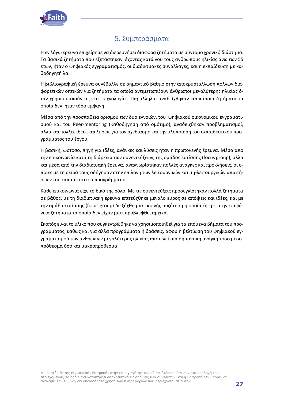

## 5. Συμπεράσματα

<span id="page-26-0"></span>Η εν λόγω έρευνα επιχείρησε να διερευνήσει διάφορα ζητήματα σε σύντομο χρονικό διάστημα. Τα βασικά ζητήματα που εξετάστηκαν, έχοντας κατά νου τους ανθρώπους ηλικίας άνω των 55 ετών, ήταν ο ψηφιακός εγγραματισμός, οι διαδικτυακές συναλλαγές, και η εκπαίδευση με καθοδηγητή λα.

Η βιβλιογραφική έρευνα συνέβαλλε σε σημαντικό βαθμό στην αποκρυστάλλωση πολλών διαφορετικών οπτικών για ζητήματα τα οποία αντιμετωπίζουν άνθρωποι μεγαλύτερης ηλικίας όταν χρησιμοποιούν τις νέες τεχνολογίες. Παράλληλα, αναδείχθηκαν και κάποια ζητήματα τα οποία δεν ήταν τόσο εμφανή.

Μέσα από την προσπάθεια ορισμού των δύο εννοιών, του ψηφιακού οικονομικού εγγραματισμού και του Peer-mentoring (Καθοδήγηση από ομότιμο), αναδείχθηκαν προβληματισμοί, αλλά και πολλές ιδέες και λύσεις για τον σχεδιασμό και την υλοποίηση του εκπαιδευτικού προγράμματος του έργου.

Η βασική, ωστόσο, πηγή για ιδέες, ανάγκες και λύσεις ήταν η πρωτογενής έρευνα. Μέσα από την επικοινωνία κατά τη διάρκεια των συνεντεύξεων, της ομάδας εστίασης (focus group), αλλά και μέσα από την διαδικτυακή έρευνα, αναγνωρίστηκαν πολλές ανάγκες και προκλήσεις, οι οποίες με τη σειρά τους οδήγησαν στην επιλογή των λειτουργικών και μη-λειτουργικών απαιτήσεων του εκπαιδευτικού προγράμματος.

Κάθε επικοινωνία είχε το δικό της ρόλο. Με τις συνεντεύξεις προσεγγίστηκαν πολλά ζητήματα σε βάθος, με τη διαδικτυακή έρευνα επιτεύχθηκε μεγάλο εύρος σε απόψεις και ιδέες, και με την ομάδα εστίασης (focus group) διεξήχθη μια εκτενής συζήτηση η οποία έφερε στην επιφάνεια ζητήματα τα οποία δεν είχαν μπει προβλεφθεί αρχικά.

Σκοπός είναι το υλικό που συγκεντρώθηκε να χρησιμοποιηθεί για τα επόμενα βήματα του προγράμματος, καθώς και για άλλα προγράμματα ή δράσεις, αφού η βελτίωση του ψηφιακού εγγραματισμού των ανθρώπων μεγαλύτερης ηλικίας αποτελεί μία σημαντική ανάγκη τόσο μεσοπρόθεσμα όσο και μακροπρόθεσμα.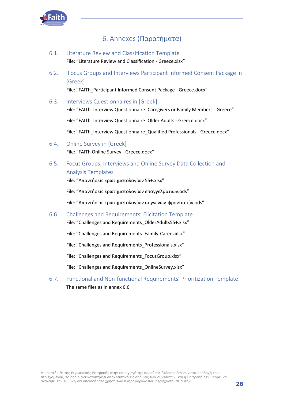

## 6. Annexes (Παρατήματα)

- <span id="page-27-1"></span><span id="page-27-0"></span>6.1. Literature Review and Classification Template File: "Literature Review and Classification - Greece.xlsx"
- <span id="page-27-2"></span>6.2. Focus Groups and Interviews Participant Informed Consent Package in [Greek]

File: "FAITh\_Participant Informed Consent Package - Greece.docx"

<span id="page-27-3"></span>6.3. Interviews Questionnaires in [Greek]

File: "FAITh\_Interview Questionnaire\_Caregivers or Family Members - Greece"

File: "FAITh\_Interview Questionnaire\_Older Adults - Greece.docx"

File: "FAITh\_Interview Questionnaire\_Qualified Professionals - Greece.docx"

- <span id="page-27-4"></span>6.4. Online Survey in [Greek] File: "FAITh Online Survey - Greece.docx"
- <span id="page-27-5"></span>6.5. Focus Groups, Interviews and Online Survey Data Collection and Analysis Templates

File: "Απαντήσεις ερωτηματολογίων 55+.xlsx"

File: "Απαντήσεις ερωτηματολογίων επαγγελματιών.ods"

File: "Απαντήσεις ερωτηματολογίων συγγενών-φροντιστών.ods"

<span id="page-27-6"></span>6.6. Challenges and Requirements' Elicitation Template File: "Challenges and Requirements\_OlderAdults55+.xlsx"

File: "Challenges and Requirements Family-Carers.xlsx"

File: "Challenges and Requirements Professionals.xlsx"

File: "Challenges and Requirements FocusGroup.xlsx"

File: "Challenges and Requirements\_OnlineSurvey.xlsx"

<span id="page-27-7"></span>6.7. Functional and Non-functional Requirements' Prioritization Template The same files as in annex 6.6